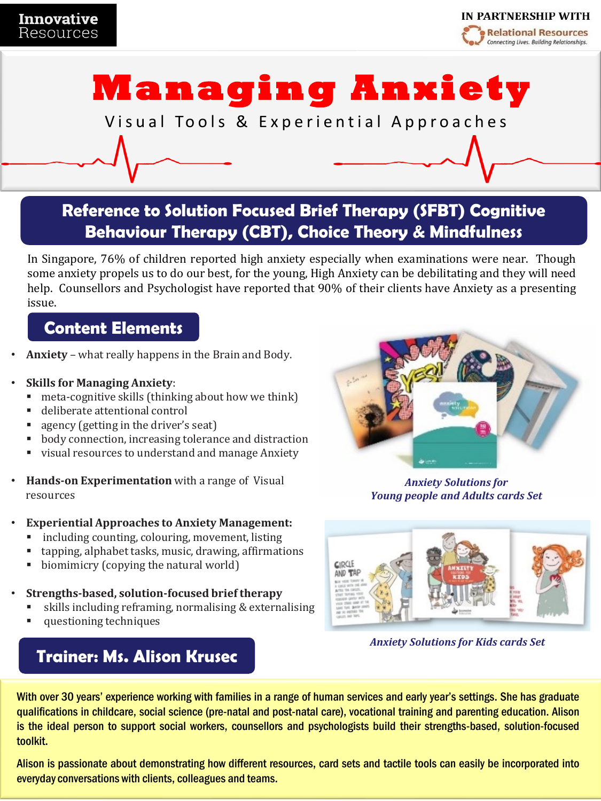

# **Managing Anxiety**

Visual Tools & Experiential Approaches

**Reference to Solution Focused Brief Therapy (SFBT) Cognitive Behaviour Therapy (CBT), Choice Theory & Mindfulness**

In Singapore, 76% of children reported high anxiety especially when examinations were near. Though some anxiety propels us to do our best, for the young, High Anxiety can be debilitating and they will need help. Counsellors and Psychologist have reported that 90% of their clients have Anxiety as a presenting issue.

### **Content Elements**

- **Anxiety** what really happens in the Brain and Body.
- **Skills for Managing Anxiety**:
	- $\blacksquare$  meta-cognitive skills (thinking about how we think)
	- deliberate attentional control
	- agency (getting in the driver's seat)
	- body connection, increasing tolerance and distraction
	- visual resources to understand and manage Anxiety
- **Hands-on Experimentation** with a range of Visual resources
- **Experiential Approaches to Anxiety Management:**
	- including counting, colouring, movement, listing
	- tapping, alphabet tasks, music, drawing, affirmations
	- biomimicry (copying the natural world)
- **Strengths-based, solution-focused brief therapy**
	- skills including reframing, normalising & externalising
	- questioning techniques

## **Trainer: Ms. Alison Krusec**



*Anxiety Solutions for Young people and Adults cards Set*



*Anxiety Solutions for Kids cards Set*

With over 30 years' experience working with families in a range of human services and early year's settings. She has graduate qualifications in childcare, social science (pre-natal and post-natal care), vocational training and parenting education. Alison is the ideal person to support social workers, counsellors and psychologists build their strengths-based, solution-focused toolkit.

Alison is passionate about demonstrating how different resources, card sets and tactile tools can easily be incorporated into everyday conversations with clients, colleagues and teams.